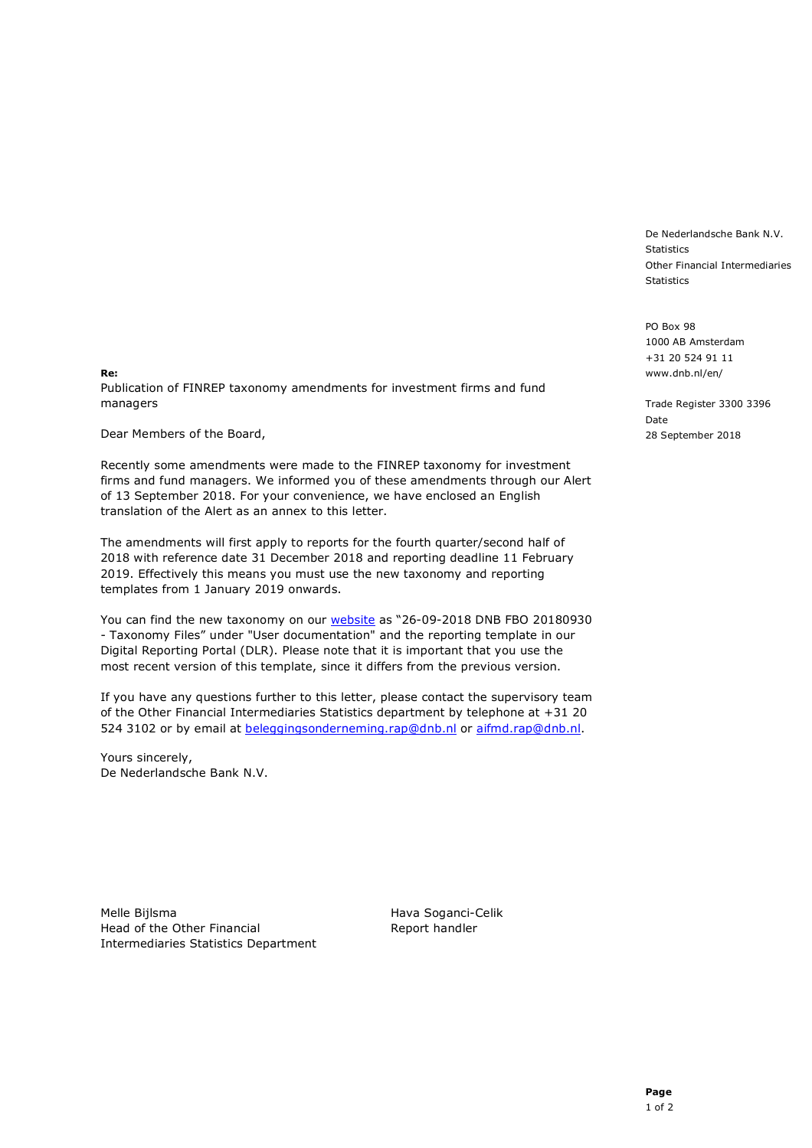De Nederlandsche Bank N.V. **Statistics** Other Financial Intermediaries Statistics

PO Box 98 1000 AB Amsterdam +31 20 524 91 11 www.dnb.nl/en/

Trade Register 3300 3396 Date 28 September 2018

Re: Publication of FINREP taxonomy amendments for investment firms and fund managers

Dear Members of the Board,

Recently some amendments were made to the FINREP taxonomy for investment firms and fund managers. We informed you of these amendments through our Alert of 13 September 2018. For your convenience, we have enclosed an English translation of the Alert as an annex to this letter.

The amendments will first apply to reports for the fourth quarter/second half of 2018 with reference date 31 December 2018 and reporting deadline 11 February 2019. Effectively this means you must use the new taxonomy and reporting templates from 1 January 2019 onwards.

You can find the new taxonomy on our website as "26-09-2018 DNB FBO 20180930 - Taxonomy Files" under "User documentation" and the reporting template in our Digital Reporting Portal (DLR). Please note that it is important that you use the most recent version of this template, since it differs from the previous version.

If you have any questions further to this letter, please contact the supervisory team of the Other Financial Intermediaries Statistics department by telephone at +31 20 524 3102 or by email at beleggingsonderneming.rap@dnb.nl or aifmd.rap@dnb.nl.

Yours sincerely, De Nederlandsche Bank N.V.

Melle Bijlsma **Marka Soganci-Celik** Hava Soganci-Celik Head of the Other Financial Report handler Intermediaries Statistics Department